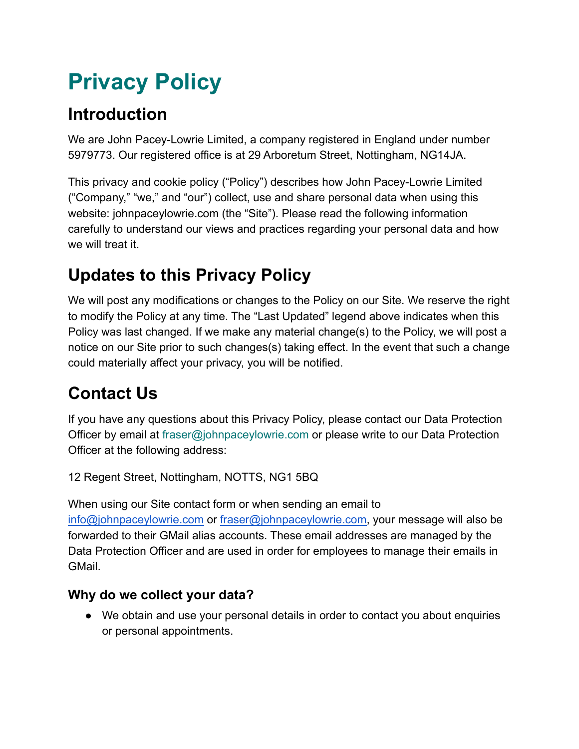# **Privacy Policy**

# **Introduction**

We are John Pacey-Lowrie Limited, a company registered in England under number 5979773. Our registered office is at 29 Arboretum Street, Nottingham, NG14JA.

This privacy and cookie policy ("Policy") describes how John Pacey-Lowrie Limited ("Company," "we," and "our") collect, use and share personal data when using this website: johnpaceylowrie.com (the "Site"). Please read the following information carefully to understand our views and practices regarding your personal data and how we will treat it.

# **Updates to this Privacy Policy**

We will post any modifications or changes to the Policy on our Site. We reserve the right to modify the Policy at any time. The "Last Updated" legend above indicates when this Policy was last changed. If we make any material change(s) to the Policy, we will post a notice on our Site prior to such changes(s) taking effect. In the event that such a change could materially affect your privacy, you will be notified.

# **Contact Us**

If you have any questions about this Privacy Policy, please contact our Data Protection Officer by email at fraser@johnpaceylowrie.com or please write to our Data Protection Officer at the following address:

12 Regent Street, Nottingham, NOTTS, NG1 5BQ

When using our Site contact form or when sending an email to [info@johnpaceylowrie.com](mailto:info@johnpaceylowrie.com) or [fraser@johnpaceylowrie.com,](mailto:fraser@johnpaceylowrie.com) your message will also be forwarded to their GMail alias accounts. These email addresses are managed by the Data Protection Officer and are used in order for employees to manage their emails in GMail.

#### **Why do we collect your data?**

● We obtain and use your personal details in order to contact you about enquiries or personal appointments.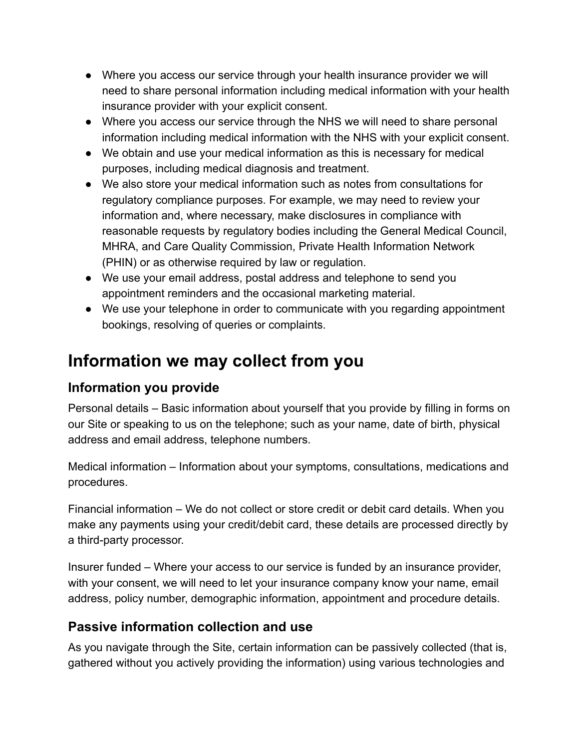- Where you access our service through your health insurance provider we will need to share personal information including medical information with your health insurance provider with your explicit consent.
- Where you access our service through the NHS we will need to share personal information including medical information with the NHS with your explicit consent.
- We obtain and use your medical information as this is necessary for medical purposes, including medical diagnosis and treatment.
- We also store your medical information such as notes from consultations for regulatory compliance purposes. For example, we may need to review your information and, where necessary, make disclosures in compliance with reasonable requests by regulatory bodies including the General Medical Council, MHRA, and Care Quality Commission, Private Health Information Network (PHIN) or as otherwise required by law or regulation.
- We use your email address, postal address and telephone to send you appointment reminders and the occasional marketing material.
- We use your telephone in order to communicate with you regarding appointment bookings, resolving of queries or complaints.

#### **Information we may collect from you**

#### **Information you provide**

Personal details – Basic information about yourself that you provide by filling in forms on our Site or speaking to us on the telephone; such as your name, date of birth, physical address and email address, telephone numbers.

Medical information – Information about your symptoms, consultations, medications and procedures.

Financial information – We do not collect or store credit or debit card details. When you make any payments using your credit/debit card, these details are processed directly by a third-party processor.

Insurer funded – Where your access to our service is funded by an insurance provider, with your consent, we will need to let your insurance company know your name, email address, policy number, demographic information, appointment and procedure details.

#### **Passive information collection and use**

As you navigate through the Site, certain information can be passively collected (that is, gathered without you actively providing the information) using various technologies and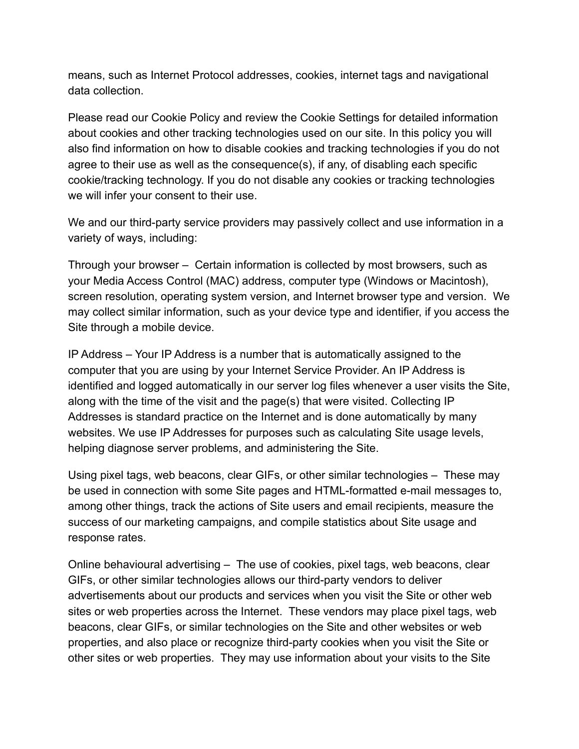means, such as Internet Protocol addresses, cookies, internet tags and navigational data collection.

Please read our Cookie Policy and review the Cookie Settings for detailed information about cookies and other tracking technologies used on our site. In this policy you will also find information on how to disable cookies and tracking technologies if you do not agree to their use as well as the consequence(s), if any, of disabling each specific cookie/tracking technology. If you do not disable any cookies or tracking technologies we will infer your consent to their use.

We and our third-party service providers may passively collect and use information in a variety of ways, including:

Through your browser – Certain information is collected by most browsers, such as your Media Access Control (MAC) address, computer type (Windows or Macintosh), screen resolution, operating system version, and Internet browser type and version. We may collect similar information, such as your device type and identifier, if you access the Site through a mobile device.

IP Address – Your IP Address is a number that is automatically assigned to the computer that you are using by your Internet Service Provider. An IP Address is identified and logged automatically in our server log files whenever a user visits the Site, along with the time of the visit and the page(s) that were visited. Collecting IP Addresses is standard practice on the Internet and is done automatically by many websites. We use IP Addresses for purposes such as calculating Site usage levels, helping diagnose server problems, and administering the Site.

Using pixel tags, web beacons, clear GIFs, or other similar technologies – These may be used in connection with some Site pages and HTML-formatted e-mail messages to, among other things, track the actions of Site users and email recipients, measure the success of our marketing campaigns, and compile statistics about Site usage and response rates.

Online behavioural advertising – The use of cookies, pixel tags, web beacons, clear GIFs, or other similar technologies allows our third-party vendors to deliver advertisements about our products and services when you visit the Site or other web sites or web properties across the Internet. These vendors may place pixel tags, web beacons, clear GIFs, or similar technologies on the Site and other websites or web properties, and also place or recognize third-party cookies when you visit the Site or other sites or web properties. They may use information about your visits to the Site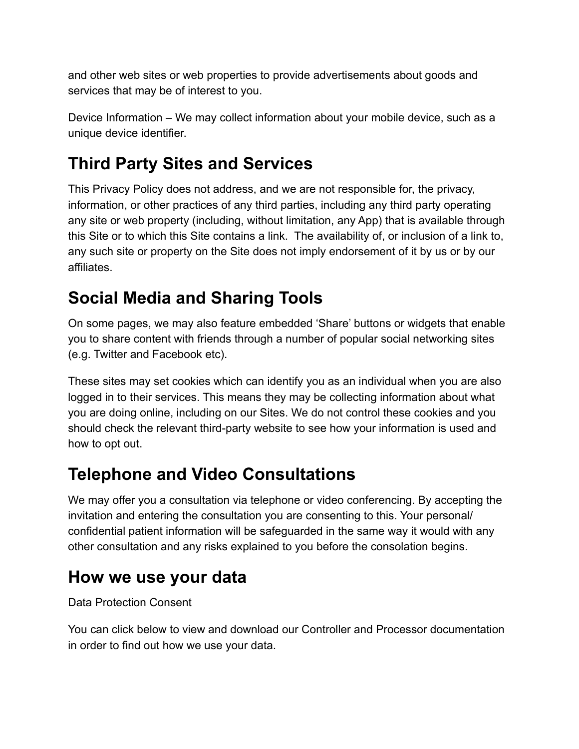and other web sites or web properties to provide advertisements about goods and services that may be of interest to you.

Device Information – We may collect information about your mobile device, such as a unique device identifier.

# **Third Party Sites and Services**

This Privacy Policy does not address, and we are not responsible for, the privacy, information, or other practices of any third parties, including any third party operating any site or web property (including, without limitation, any App) that is available through this Site or to which this Site contains a link. The availability of, or inclusion of a link to, any such site or property on the Site does not imply endorsement of it by us or by our affiliates.

### **Social Media and Sharing Tools**

On some pages, we may also feature embedded 'Share' buttons or widgets that enable you to share content with friends through a number of popular social networking sites (e.g. Twitter and Facebook etc).

These sites may set cookies which can identify you as an individual when you are also logged in to their services. This means they may be collecting information about what you are doing online, including on our Sites. We do not control these cookies and you should check the relevant third-party website to see how your information is used and how to opt out.

### **Telephone and Video Consultations**

We may offer you a consultation via telephone or video conferencing. By accepting the invitation and entering the consultation you are consenting to this. Your personal/ confidential patient information will be safeguarded in the same way it would with any other consultation and any risks explained to you before the consolation begins.

#### **How we use your data**

Data Protection Consent

You can click below to view and download our Controller and Processor documentation in order to find out how we use your data.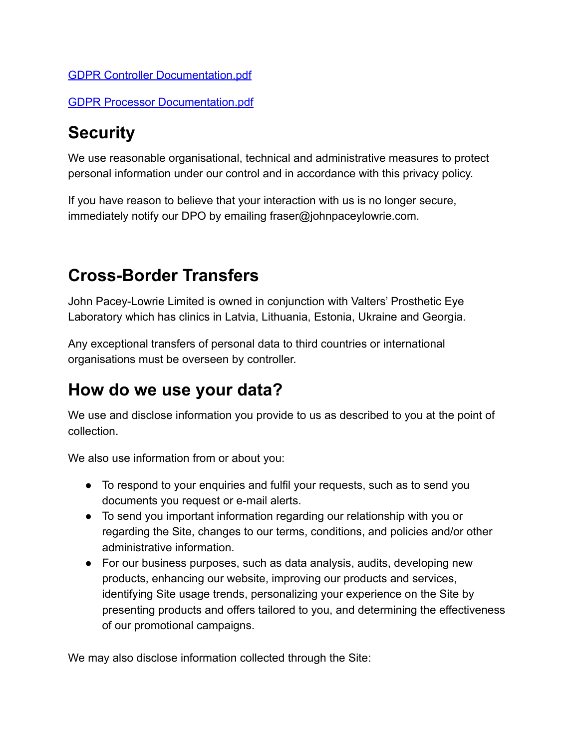#### [GDPR Controller Documentation.pdf](https://drive.google.com/file/d/15X9TCpmgPf7XskjYz3tjXscGaTAzZvCt/view?usp=sharing)

[GDPR Processor Documentation.pdf](https://drive.google.com/file/d/1XTHMw44ZxULqZdn94fUO-V3uB6RvsL21/view?usp=sharing)

### **Security**

We use reasonable organisational, technical and administrative measures to protect personal information under our control and in accordance with this privacy policy.

If you have reason to believe that your interaction with us is no longer secure, immediately notify our DPO by emailing fraser@johnpaceylowrie.com.

### **Cross-Border Transfers**

John Pacey-Lowrie Limited is owned in conjunction with Valters' Prosthetic Eye Laboratory which has clinics in Latvia, Lithuania, Estonia, Ukraine and Georgia.

Any exceptional transfers of personal data to third countries or international organisations must be overseen by controller.

#### **How do we use your data?**

We use and disclose information you provide to us as described to you at the point of collection.

We also use information from or about you:

- To respond to your enquiries and fulfil your requests, such as to send you documents you request or e-mail alerts.
- To send you important information regarding our relationship with you or regarding the Site, changes to our terms, conditions, and policies and/or other administrative information.
- For our business purposes, such as data analysis, audits, developing new products, enhancing our website, improving our products and services, identifying Site usage trends, personalizing your experience on the Site by presenting products and offers tailored to you, and determining the effectiveness of our promotional campaigns.

We may also disclose information collected through the Site: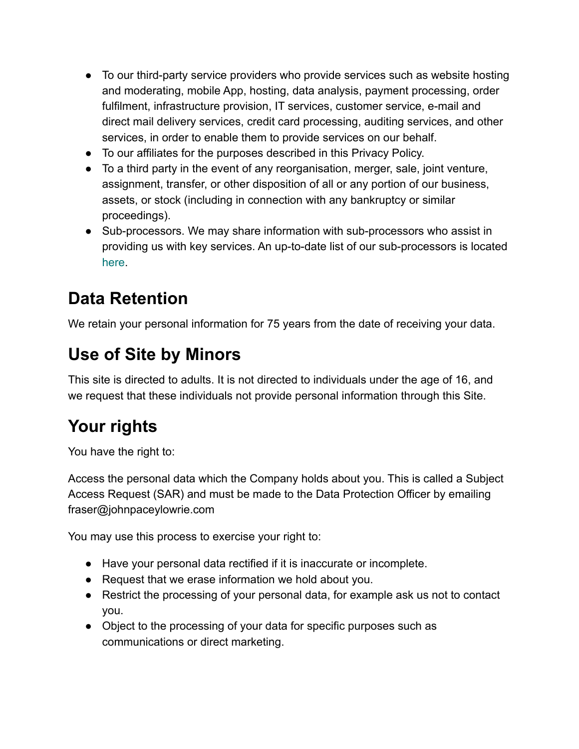- To our third-party service providers who provide services such as website hosting and moderating, mobile App, hosting, data analysis, payment processing, order fulfilment, infrastructure provision, IT services, customer service, e-mail and direct mail delivery services, credit card processing, auditing services, and other services, in order to enable them to provide services on our behalf.
- To our affiliates for the purposes described in this Privacy Policy.
- To a third party in the event of any reorganisation, merger, sale, joint venture, assignment, transfer, or other disposition of all or any portion of our business, assets, or stock (including in connection with any bankruptcy or similar proceedings).
- Sub-processors. We may share information with sub-processors who assist in providing us with key services. An up-to-date list of our sub-processors is located [here](https://www.optegra.com/about/privacy/sub-processors/).

### **Data Retention**

We retain your personal information for 75 years from the date of receiving your data.

# **Use of Site by Minors**

This site is directed to adults. It is not directed to individuals under the age of 16, and we request that these individuals not provide personal information through this Site.

# **Your rights**

You have the right to:

Access the personal data which the Company holds about you. This is called a Subject Access Request (SAR) and must be made to the Data Protection Officer by emailing fraser@johnpaceylowrie.com

You may use this process to exercise your right to:

- Have your personal data rectified if it is inaccurate or incomplete.
- Request that we erase information we hold about you.
- Restrict the processing of your personal data, for example ask us not to contact you.
- Object to the processing of your data for specific purposes such as communications or direct marketing.